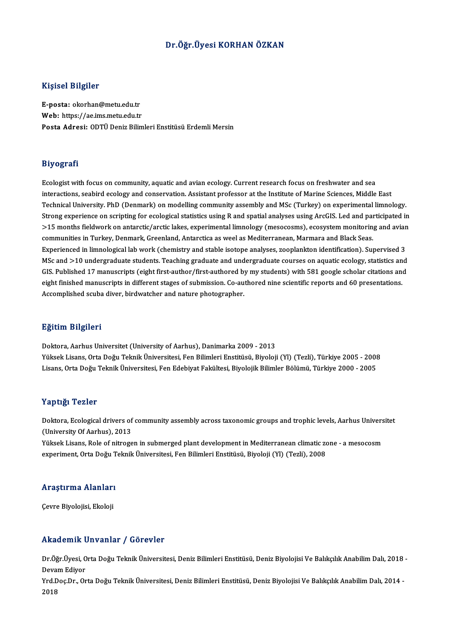## Dr.Öğr.Üyesi KORHAN ÖZKAN

#### Kişisel Bilgiler

E-posta: okorhan@metu.edu.tr Web: https://ae.ims.metu.edu.tr Posta Adresi: ODTÜ Deniz Bilimleri Enstitüsü Erdemli Mersin

#### Biyografi

Ecologist with focus on community, aquatic and avian ecology. Current research focus on freshwater and sea exy egata.<br>Ecologist with focus on community, aquatic and avian ecology. Current research focus on freshwater and sea<br>interactions, seabird ecology and conservation. Assistant professor at the Institute of Marine Sciences, Ecologist with focus on community, aquatic and avian ecology. Current research focus on freshwater and sea<br>interactions, seabird ecology and conservation. Assistant professor at the Institute of Marine Sciences, Middle Eas interactions, seabird ecology and conservation. Assistant professor at the Institute of Marine Sciences, Middle East<br>Technical University. PhD (Denmark) on modelling community assembly and MSc (Turkey) on experimental limn Technical University. PhD (Denmark) on modelling community assembly and MSc (Turkey) on experimental limnology.<br>Strong experience on scripting for ecological statistics using R and spatial analyses using ArcGIS. Led and pa Strong experience on scripting for ecological statistics using R and spatial analyses using ArcGIS. Led and pai<br>>15 months fieldwork on antarctic/arctic lakes, experimental limnology (mesocosms), ecosystem monitorin<br>commun Experienced in Turkey, Denmark, Greenland, Antarctica as weel as Mediterranean, Marmara and Black Seas.<br>Experienced in limnological lab work (chemistry and stable isotope analyses, zooplankton identification). Supervised 3 communities in Turkey, Denmark, Greenland, Antarctica as weel as Mediterranean, Marmara and Black Seas.<br>Experienced in limnological lab work (chemistry and stable isotope analyses, zooplankton identification). Supervised 3 Experienced in limnological lab work (chemistry and stable isotope analyses, zooplankton identification). Supervised 3<br>MSc and >10 undergraduate students. Teaching graduate and undergraduate courses on aquatic ecology, sta MSc and >10 undergraduate students. Teaching graduate and undergraduate courses on aquatic ecology, statistics and<br>GIS. Published 17 manuscripts (eight first-author/first-authored by my students) with 581 google scholar ci GIS. Published 17 manuscripts (eight first-author/first-authored by my students) with 581 google scholar citations and<br>eight finished manuscripts in different stages of submission. Co-authored nine scientific reports and 6

#### Eğitim Bilgileri

Doktora, Aarhus Universitet (University of Aarhus), Danimarka 2009 - 2013 Yüksek Lisans, Orta Doğu Teknik Üniversitesi, Fen Bilimleri Enstitüsü, Biyoloji (Yl) (Tezli), Türkiye 2005 - 2008 Lisans, Orta Doğu Teknik Üniversitesi, Fen Edebiyat Fakültesi, Biyolojik Bilimler Bölümü, Türkiye 2000 - 2005

#### Yaptığı Tezler

Yaptığı Tezler<br>Doktora, Ecological drivers of community assembly across taxonomic groups and trophic levels, Aarhus Universitet<br>(University Of Aarhus), 2013 Tup erg.<br>1 Doktora, Ecological drivers of<br>(University Of Aarhus), 2013<br><sup>Vältook Lisans, Bolo of nitroge</sup> Doktora, Ecological drivers of community assembly across taxonomic groups and trophic levels, Aarhus Univers<br>(University Of Aarhus), 2013<br>Yüksek Lisans, Role of nitrogen in submerged plant development in Mediterranean clim

(University Of Aarhus), 2013<br>Yüksek Lisans, Role of nitrogen in submerged plant development in Mediterranean climatic zo<br>experiment, Orta Doğu Teknik Üniversitesi, Fen Bilimleri Enstitüsü, Biyoloji (Yl) (Tezli), 2008

# experiment, orta Dogu 1<br>Araştırma Alanları <mark>Araştırma Alanları</mark><br>Çevre Biyolojisi, Ekoloji

# Çevre Biyolojisi, Ekoloji<br>Akademik Unvanlar / Görevler

**Akademik Unvanlar / Görevler**<br>Dr.Öğr.Üyesi, Orta Doğu Teknik Üniversitesi, Deniz Bilimleri Enstitüsü, Deniz Biyolojisi Ve Balıkçılık Anabilim Dalı, 2018 -<br>Davam Ediyar rmaa omme<br>Dr.Öğr.Üyesi, O<br>Devam Ediyor<br>Yrd Des Dr. Or Dr.Öğr.Üyesi, Orta Doğu Teknik Üniversitesi, Deniz Bilimleri Enstitüsü, Deniz Biyolojisi Ve Balıkçılık Anabilim Dalı, 2018 -<br>Devam Ediyor<br>Yrd.Doç.Dr., Orta Doğu Teknik Üniversitesi, Deniz Bilimleri Enstitüsü, Deniz Biyoloj

Devam Ediyor<br>Yrd.Doç.Dr., Orta Doğu Teknik Üniversitesi, Deniz Bilimleri Enstitüsü, Deniz Biyolojisi Ve Balıkçılık Anabilim Dalı, 2014 -<br>2018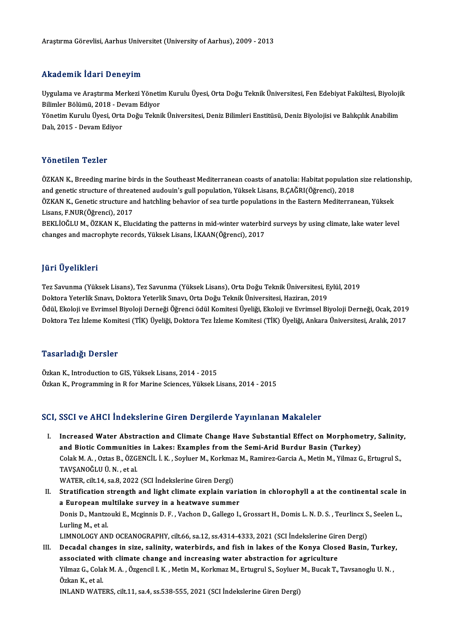#### Akademik İdari Deneyim

**Akademik İdari Deneyim**<br>Uygulama ve Araştırma Merkezi Yönetim Kurulu Üyesi, Orta Doğu Teknik Üniversitesi, Fen Edebiyat Fakültesi, Biyolojik<br>Bilimler Bölümü, 2019, Davam Ediyer III.<br>Uygulama ve Araştırma Merkezi Yöneti<br>Bilimler Bölümü, 2018 - Devam Ediyor<br>Vönetim Kurulu Üyesi, Orta Değu Tekni Uygulama ve Araştırma Merkezi Yönetim Kurulu Üyesi, Orta Doğu Teknik Üniversitesi, Fen Edebiyat Fakültesi, Biyoloji<br>Bilimler Bölümü, 2018 - Devam Ediyor<br>Yönetim Kurulu Üyesi, Orta Doğu Teknik Üniversitesi, Deniz Bilimleri

Bilimler Bölümü, 2018 - De<br>Yönetim Kurulu Üyesi, Orta<br>Dalı, 2015 - Devam Ediyor Dalı, 2015 - Devam Ediyor<br>Yönetilen Tezler

Yönetilen Tezler<br>ÖZKAN K., Breeding marine birds in the Southeast Mediterranean coasts of anatolia: Habitat population size relationship,<br>and genetic structure of threetened audeuin's gull population. Välgel: Lisans, B.CAČ and geneticar and and the southeast Mediterranean coasts of anatolia: Habitat population<br>and genetic structure of threatened audouin's gull population, Yüksek Lisans, B.ÇAĞRI(Öğrenci), 2018<br>ÖZKAN K. Genetic structure and b ÖZKAN K., Breeding marine birds in the Southeast Mediterranean coasts of anatolia: Habitat population size relation<br>and genetic structure of threatened audouin's gull population, Yüksek Lisans, B.ÇAĞRI(Öğrenci), 2018<br>ÖZKAN and genetic structure of threatened audouin's gull population, Yüksek Lisans, B.ÇAĞRI(Öğrenci), 2018<br>ÖZKAN K., Genetic structure and hatchling behavior of sea turtle populations in the Eastern Mediterranean, Yüksek<br>Lisans,

BEKLİOĞLU M., ÖZKAN K., Elucidating the patterns in mid-winter waterbird surveys by using climate, lake water level changes and macrophyte records, Yüksek Lisans, İ.KAAN(Öğrenci), 2017

## JüriÜyelikleri

**Jüri Üyelikleri**<br>Tez Savunma (Yüksek Lisans), Tez Savunma (Yüksek Lisans), Orta Doğu Teknik Üniversitesi, Eylül, 2019<br>Pektere Yeterlik Smayı, Pektere Yeterlik Smayı, Orta Doğu Teknik Üniversitesi, Haziran, 2019 yarr Oyommorr<br>Tez Savunma (Yüksek Lisans), Tez Savunma (Yüksek Lisans), Orta Doğu Teknik Üniversitesi, E<br>Doktora Yeterlik Sınavı, Doktora Yeterlik Sınavı, Orta Doğu Teknik Üniversitesi, Haziran, 2019<br>Ödül, Ekoloji ve Eynim Tez Savunma (Yüksek Lisans), Tez Savunma (Yüksek Lisans), Orta Doğu Teknik Üniversitesi, Eylül, 2019<br>Doktora Yeterlik Sınavı, Doktora Yeterlik Sınavı, Orta Doğu Teknik Üniversitesi, Haziran, 2019<br>Ödül, Ekoloji ve Evrimsel Doktora Yeterlik Sınavı, Doktora Yeterlik Sınavı, Orta Doğu Teknik Üniversitesi, Haziran, 2019<br>Ödül, Ekoloji ve Evrimsel Biyoloji Derneği Öğrenci ödül Komitesi Üyeliği, Ekoloji ve Evrimsel Biyoloji Derneği, Ocak, 2019<br>Dokt Doktora Tez İzleme Komitesi (TİK) Üyeliği, Doktora Tez İzleme Komitesi (TİK) Üyeliği, Ankara Üniversitesi, Aralık, 2017<br>Tasarladığı Dersler

Özkan K., Introduction to GIS, Yüksek Lisans, 2014 - 2015 Özkan K., Programming in R for Marine Sciences, Yüksek Lisans, 2014 - 2015

## SCI, SSCI ve AHCI İndekslerine Giren Dergilerde Yayınlanan Makaleler

CI, SSCI ve AHCI İndekslerine Giren Dergilerde Yayınlanan Makaleler<br>I. Increased Water Abstraction and Climate Change Have Substantial Effect on Morphometry, Salinity,<br>And Pietis Communities in Lakes: Examples from the Sem and a communities in the Seminated Communities in Lakes: Examples from the Semi-Arid Burdur Basin (Turkey)<br>and Biotic Communities in Lakes: Examples from the Semi-Arid Burdur Basin (Turkey)<br>Colak M. A. Ottas B. ÖZCENCU LK. Increased Water Abstraction and Climate Change Have Substantial Effect on Morphometry, Salinity<br>and Biotic Communities in Lakes: Examples from the Semi-Arid Burdur Basin (Turkey)<br>Colak M. A. , Oztas B., ÖZGENCİL İ. K. , So and Biotic Communitie<br>Colak M. A. , Oztas B., ÖZG<br>TAVŞANOĞLU Ü. N. , et al.<br>WATER .silt 14, 88,8,2022 Colak M. A. , Oztas B., ÖZGENCİL İ. K. , Soyluer M., Korkma:<br>TAVŞANOĞLU Ü. N. , et al.<br>WATER, cilt.14, sa.8, 2022 (SCI İndekslerine Giren Dergi)<br>Stratification atronath and light alimate evnlejn veı

- TAVŞANOĞLU Ü.N., et al.<br>WATER, cilt.14, sa.8, 2022 (SCI İndekslerine Giren Dergi)<br>II. Stratification strength and light climate explain variation in chlorophyll a at the continental scale in<br>A European multilake eurueu in WATER, cilt.14, sa.8, 2022 (SCI İndekslerine Giren Dergi)<br>Stratification strength and light climate explain varia<br>a European multilake survey in a heatwave summer<br>Ponis D. Mantrouki E. Maginnia D. E. Vashan D. Callaga L Stratification strength and light climate explain variation in chlorophyll a at the continental scale i<mark>i</mark><br>a European multilake survey in a heatwave summer<br>Donis D., Mantzouki E., Mcginnis D. F. , Vachon D., Gallego I., Gr a European multilake survey in a heatwave summer<br>Donis D., Mantzouki E., Mcginnis D. F. , Vachon D., Gallego I.,<br>Lurling M., et al. Donis D., Mantzouki E., Mcginnis D. F., Vachon D., Gallego I., Grossart H., Domis L. N. D. S., Teurlincx S., Seelen L., Lurling M., et al.<br>LIMNOLOGY AND OCEANOGRAPHY, cilt.66, sa.12, ss.4314-4333, 2021 (SCI İndekslerine Giren Dergi)<br>III. Decadal changes in size, salinity, waterbirds, and fish in lakes of the Konya Closed Basin, Turkey,<br>asso
- LIMNOLOGY AND OCEANOGRAPHY, cilt.66, sa.12, ss.4314-4333, 2021 (SCI Indekslerine Giren Dergi)<br>Decadal changes in size, salinity, waterbirds, and fish in lakes of the Konya Closed Basin, Turkey<br>associated with climate chang Decadal changes in size, salinity, waterbirds, and fish in lakes of the Konya Closed Basin, Turkey<br>associated with climate change and increasing water abstraction for agriculture<br>Yilmaz G., Colak M. A. , Özgencil I. K. , M associated with climate change and increasing water abstraction for agriculture Yilmaz G., Colak M. A. , Özgencil I. K. , Metin M., Korkmaz M., Ertugrul S., Soyluer M., Bucak T., Özkan K., et al. INLAND WATERS, cilt.11, sa.4, ss.538-555, 2021 (SCI İndekslerine Giren Dergi)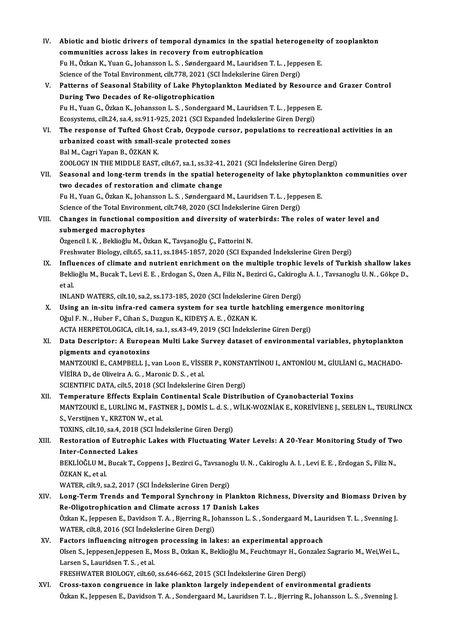- IV. Abiotic and biotic drivers of temporal dynamics in the spatial heterogeneity of zooplankton Abiotic and biotic drivers of temporal dynamics in the spat<br>communities across lakes in recovery from eutrophication<br>Fu H. Örkan K. Vuan G. Jahansson J. S. Sandarssand M. Lauridser Abiotic and biotic drivers of temporal dynamics in the spatial heterogeneity<br>communities across lakes in recovery from eutrophication<br>Fu H., Özkan K., Yuan G., Johansson L. S. , Søndergaard M., Lauridsen T. L. , Jeppesen E communities across lakes in recovery from eutrophication<br>Fu H., Özkan K., Yuan G., Johansson L. S. , Søndergaard M., Lauridsen T. L. , Jeppesen E. V. Patterns of Seasonal Stability of Lake Phytoplankton Mediated by Resource and Grazer Control<br>During Two Decades of Re-oligotrophication Science of the Total Environment, cilt.778, 2021 (SCI Indekslerine Giren Dergi) Patterns of Seasonal Stability of Lake Phytoplankton Mediated by Resource<br>During Two Decades of Re-oligotrophication<br>Fu H., Yuan G., Özkan K., Johansson L. S. , Sondergaard M., Lauridsen T. L. , Jeppesen E.<br>Feosystems sit During Two Decades of Re-oligotrophication<br>Fu H., Yuan G., Özkan K., Johansson L. S. , Sondergaard M., Lauridsen T. L. , Jeppesen<br>Ecosystems, cilt.24, sa.4, ss.911-925, 2021 (SCI Expanded İndekslerine Giren Dergi)<br>The resp Fu H., Yuan G., Özkan K., Johansson L. S. , Sondergaard M., Lauridsen T. L. , Jeppesen E.<br>Ecosystems, cilt.24, sa.4, ss.911-925, 2021 (SCI Expanded Indekslerine Giren Dergi)<br>VI. The response of Tufted Ghost Crab, Ocypode c Ecosystems, cilt.24, sa.4, ss.911-925, 2021 (SCI Expanded The response of Tufted Ghost Crab, Ocypode curs<br>urbanized coast with small-scale protected zones<br>Pel M. Cegri Vapan P. ÖZKAN K The response of Tufted Ghos<br>urbanized coast with small-s<br>Bal M., Cagri Yapan B., ÖZKAN K.<br>7001 OCV IN TUE MIDDLE FAST urbanized coast with small-scale protected zones<br>Bal M., Cagri Yapan B., ÖZKAN K.<br>ZOOLOGY IN THE MIDDLE EAST, cilt.67, sa.1, ss.32-41, 2021 (SCI İndekslerine Giren Dergi) Bal M., Cagri Yapan B., ÖZKAN K.<br>ZOOLOGY IN THE MIDDLE EAST, cilt.67, sa.1, ss.32-41, 2021 (SCI İndekslerine Giren Dergi)<br>VII. Seasonal and long-term trends in the spatial heterogeneity of lake phytoplankton communitie two decades of restoration and climate change Seasonal and long-term trends in the spatial heterogeneity of lake phytopla<br>two decades of restoration and climate change<br>Fu H., Yuan G., Özkan K., Johansson L. S. , Søndergaard M., Lauridsen T. L. , Jeppesen E.<br>Sejange of Fu H., Yuan G., Özkan K., Johansson L. S., Søndergaard M., Lauridsen T. L., Jeppesen E. VIII. Changes in functional composition and diversity of waterbirds: The roles of water level and<br>submerged macrophytes Science of the Total Environment, cilt.748, 2020 (SCI Indekslerine Giren Dergi) Özgencil I.K., Beklioğlu M., Özkan K., Tavşanoğlu Ç., Fattorini N. Freshwater Biology, cilt.65, sa.11, ss.1845-1857, 2020 (SCI Expanded İndekslerine Giren Dergi) Özgencil I. K., Beklioğlu M., Özkan K., Tavşanoğlu Ç., Fattorini N.<br>Freshwater Biology, cilt.65, sa.11, ss.1845-1857, 2020 (SCI Expanded İndekslerine Giren Dergi)<br>IX. Influences of climate and nutrient enrichment on the mu Freshwater Biology, cilt.65, sa.11, ss.1845-1857, 2020 (SCI Expanded İndekslerine Giren Dergi)<br>Influences of climate and nutrient enrichment on the multiple trophic levels of Turkish shallow lakes<br>Beklioğlu M., Bucak T., L I<mark>nflu</mark><br>Bekli<br>et al.<br>INLA Beklioğlu M., Bucak T., Levi E. E. , Erdogan S., Ozen A., Filiz N., Bezirci G., Cakiroglu A. I. , Tavsanoglu U. N. , Gökçe D.,<br>et al. et al.<br>INLAND WATERS, cilt.10, sa.2, ss.173-185, 2020 (SCI İndekslerine Giren Dergi)<br>X. Using an in-situ infra-red camera system for sea turtle hatchling emergence monitoring<br>Oğul E.N. Huber E. Ciban S. Duggun K. KIDEVS A. INLAND WATERS, cilt.10, sa.2, ss.173-185, 2020 (SCI İndekslerine Giren Dergi)<br>Using an in-situ infra-red camera system for sea turtle hatchling emerge<br>Oğul F.N., Huber F., Cihan S., Duzgun K., KIDEYŞ A. E., ÖZKAN K.<br>ACTA H Using an in-situ infra-red camera system for sea turtle hatchling emerger<br>Oğul F. N. , Huber F., Cihan S., Duzgun K., KIDEYŞ A. E. , ÖZKAN K.<br>ACTA HERPETOLOGICA, cilt.14, sa.1, ss.43-49, 2019 (SCI İndekslerine Giren Dergi) Oğul F. N. , Huber F., Cihan S., Duzgun K., KIDEYŞ A. E. , ÖZKAN K.<br>ACTA HERPETOLOGICA, cilt.14, sa.1, ss.43-49, 2019 (SCI İndekslerine Giren Dergi)<br>XI. Data Descriptor: A European Multi Lake Survey dataset of environm ACTA HERPETOLOGICA, cilt.14<br>Data Descriptor: A Europe<br>pigments and cyanotoxins<br>MANTZOUKI E CAMPPELL L Data Descriptor: A European Multi Lake Survey dataset of environmental variables, phytoplankton<br>pigments and cyanotoxins<br>MANTZOUKİ E., CAMPBELL J., van Loon E., VİSSER P., KONSTANTİNOU I., ANTONİOU M., GİULİANİ G., MACHADO pigments and cyanotoxins<br>MANTZOUKİ E., CAMPBELL J., van Loon E., VİSSER P., KONSTANTİNOU I., ANTONİOU M., GİULİANİ G., MACHADO-<br>VİEİRA D., de Oliveira A. G. , Maronic D. S. , et al. SCIENTIFIC DATA, cilt.5, 2018 (SCI İndekslerine Giren Dergi) XII. Temperature Effects Explain Continental Scale Distribution of Cyanobacterial Toxins SCIENTIFIC DATA, cilt.5, 2018 (SCI İndekslerine Giren Dergi)<br>Temperature Effects Explain Continental Scale Distribution of Cyanobacterial Toxins<br>MANTZOUKİ E., LURLİNG M., FASTNER J., DOMİS L. d. S. , WİLK-WOZNİAK E., KOREİ S.,VerstijnenY.,KRZTONW.,etal. MANTZOUKİ E., LURLİNG M., FASTNER J., DOMİS L. d. S. , V<br>S., Verstijnen Y., KRZTON W., et al.<br>TOXINS, cilt.10, sa.4, 2018 (SCI İndekslerine Giren Dergi)<br>Besteration of Eutrophia Lakes with Elustuating W S., Verstijnen Y., KRZTON W., et al.<br>TOXINS, cilt.10, sa.4, 2018 (SCI Indekslerine Giren Dergi)<br>XIII. Restoration of Eutrophic Lakes with Fluctuating Water Levels: A 20-Year Monitoring Study of Two<br>Inter Connected Lake TOXINS, cilt.10, sa.4, 2018 (SCI İndekslerine Giren Dergi)<br>Restoration of Eutrophic Lakes with Fluctuating Water Levels: A 20-Year Monitoring Study of Tw<br>Inter-Connected Lakes<br>BEKLİOĞLU M., Bucak T., Coppens J., Bezirci G. Restoration of Eutrophic Lakes with Fluctuating Water Levels: A 20-Year Monitoring Study of Tw<br>Inter-Connected Lakes<br>BEKLİOĞLU M., Bucak T., Coppens J., Bezirci G., Tavsanoglu U.N. , Cakiroglu A. I. , Levi E. E. , Erdogan Inter-Connected Lakes<br>BEKLİOĞLU M., Bucak T., (<br>ÖZKAN K., et al. WATER, cilt.9, sa.2, 2017 (SCI İndekslerine Giren Dergi) ÖZKAN K., et al.<br>WATER, cilt.9, sa.2, 2017 (SCI İndekslerine Giren Dergi)<br>XIV. Long-Term Trends and Temporal Synchrony in Plankton Richness, Diversity and Biomass Driven by<br>Pe Oligatrophication and Climate agrees 17 Da WATER, cilt.9, sa.2, 2017 (SCI İndekslerine Giren Dergi)<br>Long-Term Trends and Temporal Synchrony in Plankton F<br>Re-Oligotrophication and Climate across 17 Danish Lakes<br>Özkan K. Jannesen E. Davidsen T. A., Bierring B. Johans Long-Term Trends and Temporal Synchrony in Plankton Richness, Diversity and Biomass Driven<br>Re-Oligotrophication and Climate across 17 Danish Lakes<br>Özkan K., Jeppesen E., Davidson T. A. , Bjerring R., Johansson L. S. , Sond Re-Oligotrophication and Climate across 17 Danish Lakes<br>Özkan K., Jeppesen E., Davidson T. A. , Bjerring R., Johansson L. S. , Sondergaard M., Lauridsen T. L. , Svenning J.<br>WATER, cilt.8, 2016 (SCI İndekslerine Giren Dergi Özkan K., Jeppesen E., Davidson T. A., Bjerring R., Johansson L. S., Sondergaard M., Lau WATER, cilt.8, 2016 (SCI İndekslerine Giren Dergi)<br>XV. Factors influencing nitrogen processing in lakes: an experimental approach<br>Qle WATER, cilt.8, 2016 (SCI İndekslerine Giren Dergi)<br>Factors influencing nitrogen processing in lakes: an experimental approach<br>Olsen S., Jeppesen,Jeppesen E., Moss B., Ozkan K., Beklioğlu M., Feuchtmayr H., Gonzalez Sagrari Factors influencing nitroger<br>Olsen S., Jeppesen,Jeppesen E., I<br>Larsen S., Lauridsen T. S. , et al.<br>EPESUWATER PIOLOCY si<sup>1</sup>560</sub> Olsen S., Jeppesen,Jeppesen E., Moss B., Ozkan K., Beklioğlu M., Feuchtmayr H., Gor<br>Larsen S., Lauridsen T. S. , et al.<br>FRESHWATER BIOLOGY, cilt.60, ss.646-662, 2015 (SCI İndekslerine Giren Dergi)<br>Crees taxan sangruange in Larsen S., Lauridsen T. S. , et al.<br>FRESHWATER BIOLOGY, cilt.60, ss.646-662, 2015 (SCI İndekslerine Giren Dergi)<br>XVI. Cross-taxon congruence in lake plankton largely independent of environmental gradients
- Özkan K., Jeppesen E., Davidson T. A., Sondergaard M., Lauridsen T. L., Bjerring R., Johansson L. S., Svenning J.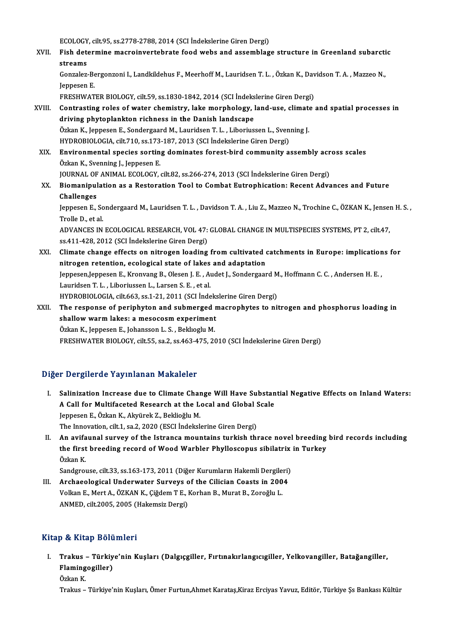ECOLOGY, cilt.95, ss.2778-2788, 2014 (SCI İndekslerine Giren Dergi)<br>Fish determine magnejnyentebrata food webs and assembles

ECOLOGY, cilt.95, ss.2778-2788, 2014 (SCI İndekslerine Giren Dergi)<br>XVII. Fish determine macroinvertebrate food webs and assemblage structure in Greenland subarctic ECOLOGY<br>Fish det<br>streams Fish determine macroinvertebrate food webs and assemblage structure in Greenland subarcti<br>streams<br>Gonzalez-Bergonzoni I., Landkildehus F., Meerhoff M., Lauridsen T. L. , Özkan K., Davidson T. A. , Mazzeo N.,<br>Jannesen F

<mark>streams</mark><br>Gonzalez-Be<br>Jeppesen E.<br>ΕΡΕΞΗΜΑΤ Gonzalez-Bergonzoni I., Landkildehus F., Meerhoff M., Lauridsen T. L. , Özkan K., Dav<br>Jeppesen E.<br>FRESHWATER BIOLOGY, cilt.59, ss.1830-1842, 2014 (SCI İndekslerine Giren Dergi)<br>Contrasting relas of water shemistry, Jako me

- Jeppesen E.<br>FRESHWATER BIOLOGY, cilt.59, ss.1830-1842, 2014 (SCI İndekslerine Giren Dergi)<br>XVIII. Contrasting roles of water chemistry, lake morphology, land-use, climate and spatial processes in<br>driving phytoplankton rich FRESHWATER BIOLOGY, cilt59, ss.1830-1842, 2014 (SCI Indeks<br>Contrasting roles of water chemistry, lake morphology, l<br>driving phytoplankton richness in the Danish landscape<br>Ozkap K. Jappesen E. Sonderseard M. Lauridsen T. L. Contrasting roles of water chemistry, lake morphology, land-use, climate<br>driving phytoplankton richness in the Danish landscape<br>Özkan K., Jeppesen E., Sondergaard M., Lauridsen T. L. , Liboriussen L., Svenning J.<br>HYDROPIOL driving phytoplankton richness in the Danish landscape<br>Özkan K., Jeppesen E., Sondergaard M., Lauridsen T. L. , Liboriussen L., Sven<br>HYDROBIOLOGIA, cilt.710, ss.173-187, 2013 (SCI İndekslerine Giren Dergi)<br>Environmental sp Özkan K., Jeppesen E., Sondergaard M., Lauridsen T. L. , Liboriussen L., Svenning J.<br>HYDROBIOLOGIA, cilt.710, ss.173-187, 2013 (SCI İndekslerine Giren Dergi)<br>XIX. Environmental species sorting dominates forest-bird communi
- HYDROBIOLOGIA, cilt.710, ss.173<br>Environmental species sortin<br>Özkan K., Svenning J., Jeppesen E.<br>JOUPNAL OF ANIMAL ECOLOCY Environmental species sorting dominates forest-bird community assembly acr<br>Özkan K., Svenning J., Jeppesen E.<br>JOURNAL OF ANIMAL ECOLOGY, cilt.82, ss.266-274, 2013 (SCI İndekslerine Giren Dergi)<br>Piemeninulation as a Bestans Özkan K., Svenning J., Jeppesen E.<br>JOURNAL OF ANIMAL ECOLOGY, cilt.82, ss.266-274, 2013 (SCI İndekslerine Giren Dergi)<br>XX. Biomanipulation as a Restoration Tool to Combat Eutrophication: Recent Advances and Future<br>Chal JOURNAL OF<br>Biomanipul<br>Challenges<br>Jonnesen F

Biomanipulation as a Restoration Tool to Combat Eutrophication: Recent Advances and Future<br>Challenges<br>Jeppesen E., Sondergaard M., Lauridsen T. L. , Davidson T. A. , Liu Z., Mazzeo N., Trochine C., ÖZKAN K., Jensen H. S. , Challenges<br>Jeppesen E., Sc<br>Trolle D., et al.<br>ADVANCES IN Jeppesen E., Sondergaard M., Lauridsen T. L. , Davidson T. A. , Liu Z., Mazzeo N., Trochine C., ÖZKAN K., Jenser<br>Trolle D., et al.<br>ADVANCES IN ECOLOGICAL RESEARCH, VOL 47: GLOBAL CHANGE IN MULTISPECIES SYSTEMS, PT 2, cilt.

Trolle D., et al.<br>ADVANCES IN ECOLOGICAL RESEARCH, VOL 47: GLOBAL CHANGE IN MULTISPECIES SYSTEMS, PT 2, cilt.47,<br>ss.411-428, 2012 (SCI İndekslerine Giren Dergi) ADVANCES IN ECOLOGICAL RESEARCH, VOL 47: GLOBAL CHANGE IN MULTISPECIES SYSTEMS, PT 2, cilt.47,<br>ss.411-428, 2012 (SCI Indekslerine Giren Dergi)<br>XXI. Climate change effects on nitrogen loading from cultivated catchments in E

ss.411-428, 2012 (SCI Indekslerine Giren Dergi)<br>Climate change effects on nitrogen loading from cultivated of<br>nitrogen retention, ecological state of lakes and adaptation<br>Jonnesen Jennesen E. Kronveng B. Olesen J. E., Aude Climate change effects on nitrogen loading from cultivated catchments in Europe: implication<br>nitrogen retention, ecological state of lakes and adaptation<br>Jeppesen,Jeppesen E., Kronvang B., Olesen J. E. , Audet J., Sonderga nitrogen retention, ecological state of lakes and adaptation<br>Jeppesen,Jeppesen E., Kronvang B., Olesen J. E. , Audet J., Sondergaard M., Hoffmann C. C. , Andersen H. E. ,<br>Lauridsen T. L. , Liboriussen L., Larsen S. E. , et Jeppesen,Jeppesen E., Kronvang B., Olesen J. E. , Audet J., Sondergaard M<br>Lauridsen T. L. , Liboriussen L., Larsen S. E. , et al.<br>HYDROBIOLOGIA, cilt.663, ss.1-21, 2011 (SCI İndekslerine Giren Dergi)<br>The respense of periph Lauridsen T. L. , Liboriussen L., Larsen S. E. , et al.<br>HYDROBIOLOGIA, cilt.663, ss.1-21, 2011 (SCI İndekslerine Giren Dergi)<br>XXII. The response of periphyton and submerged macrophytes to nitrogen and phosphorus loadin

HYDROBIOLOGIA, cilt.663, ss.1-21, 2011 (SCI İndeks)<br>The response of periphyton and submerged r<br>shallow warm lakes: a mesocosm experiment<br>Özkan K. Jannasan E. Jahanssan J. S., Bakhaslu M. The response of periphyton and submerged<br>shallow warm lakes: a mesocosm experiment<br>Özkan K., Jeppesen E., Johansson L. S., Beklıoglu M.<br>ERESHWATER RIOLOCY silt EE 82.2.88.462.475.20 shallow warm lakes: a mesocosm experiment<br>Özkan K., Jeppesen E., Johansson L. S. , Beklıoglu M.<br>FRESHWATER BIOLOGY, cilt.55, sa.2, ss.463-475, 2010 (SCI İndekslerine Giren Dergi)

## Diğer Dergilerde Yayınlanan Makaleler

- Iger Dergilerde Yayınlanan Makaleler<br>I. Salinization Increase due to Climate Change Will Have Substantial Negative Effects on Inland Waters:<br>A Cell for Multifeceted Bessarsh at the Lessl and Clabel Ssale A Bergherde Taymmandh Mahareter<br>Salinization Increase due to Climate Change Will Have Substan<br>A Call for Multifaceted Research at the Local and Global Scale Salinization Increase due to Climate Char<br>A Call for Multifaceted Research at the Le<br>Jeppesen E., Özkan K., Akyürek Z., Beklioğlu M.<br>The Innevation silt 1, se 2, 2020 (ESCI İndekalı A Call for Multifaceted Research at the Local and Global Scale<br>Jeppesen E., Özkan K., Akyürek Z., Beklioğlu M.<br>The Innovation, cilt.1, sa.2, 2020 (ESCI İndekslerine Giren Dergi)
- II. An avifaunal survey of the Istranca mountains turkish thrace novel breeding bird records including The Innovation, cilt.1, sa.2, 2020 (ESCI İndekslerine Giren Dergi)<br>An avifaunal survey of the Istranca mountains turkish thrace novel breeding<br>the first breeding record of Wood Warbler Phylloscopus sibilatrix in Turkey<br>Özk An avifa<br>the first<br>Özkan K.<br>Sandara the first breeding record of Wood Warbler Phylloscopus sibilatrix<br>Özkan K.<br>Sandgrouse, cilt.33, ss.163-173, 2011 (Diğer Kurumların Hakemli Dergileri)<br>Arshaeologisel Underwater Surveys of the Gilisian Goests in 2004.

Özkan K.<br>Sandgrouse, cilt.33, ss.163-173, 2011 (Diğer Kurumların Hakemli Dergileri)<br>III. Archaeological Underwater Surveys of the Cilician Coasts in 2004<br>Vellien E. Mart A. ÖZKAN K. Gödem T.E. Karban B. Murat B. Zereğlu I. Sandgrouse, cilt.33, ss.163-173, 2011 (Diğer Kurumların Hakemli Dergile:<br>Archaeological Underwater Surveys of the Cilician Coasts in 200<br>Volkan E., Mert A., ÖZKAN K., Çiğdem T E., Korhan B., Murat B., Zoroğlu L.<br>ANMED. sil III. Archaeological Underwater Surveys of the Cilician Coasts in 2004<br>Volkan E., Mert A., ÖZKAN K., Çiğdem T E., Korhan B., Murat B., Zoroğlu L.<br>ANMED, cilt.2005, 2005 (Hakemsiz Dergi)

#### Kitap & Kitap Bölümleri

Itap & Kitap Bölümleri<br>I. Trakus – Türkiye'nin Kuşları (Dalgıçgiller, Fırtınakırlangıcıgiller, Yelkovangiller, Batağangiller,<br>Flamingegiller) p & Artap Bora<br>Trakus – Türkiy<br>Flamingogiller) Trakus<br>Flaming<br>Özkan K.<br><sup>Trakus</sup> <mark>Flamingogiller)</mark><br>Özkan K.<br>Trakus – Türkiye'nin Kuşları, Ömer Furtun,Ahmet Karataş,Kiraz Erciyas Yavuz, Editör, Türkiye Şs Bankası Kültür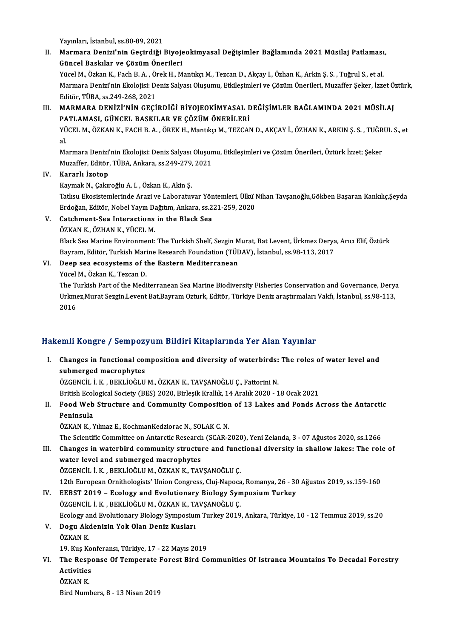Yayınları, İstanbul, ss.80-89,2021

Yayınları, İstanbul, ss.80-89, 2021<br>II. Marmara Denizi'nin Geçirdiği Biyojeokimyasal Değişimler Bağlamında 2021 Müsilaj Patlaması,<br>Güneel Beekklar ve Gözüm Önerileri Yayınları, İstanbul, ss.80-89, 2021<br>Marmara Denizi'nin Geçirdiği Biyoje<br>Güncel Baskılar ve Çözüm Önerileri<br><sup>Vüqel M. Örkan K. Fash B. A. Önek H. M</sub></sup> Marmara Denizi'nin Geçirdiği Biyojeokimyasal Değişimler Bağlamında 2021 Müsilaj Patlaması<br>Güncel Baskılar ve Çözüm Önerileri<br>Yücel M., Özkan K., Fach B. A. , Örek H., Mantıkçı M., Tezcan D., Akçay I., Özhan K., Arkin Ş. S.

Güncel Baskılar ve Çözüm Önerileri<br>Yücel M., Özkan K., Fach B. A. , Örek H., Mantıkçı M., Tezcan D., Akçay I., Özhan K., Arkin Ş. S. , Tuğrul S., et al.<br>Marmara Denizi'nin Ekolojisi: Deniz Salyası Oluşumu, Etkileşimleri ve Yücel M., Özkan K., Fach B. A., Örek H., Mantıkçı M., Tezcan D., Akçay I., Özhan K., Arkin Ş. S., Tuğrul S., et al. Marmara Denizi'nin Ekolojisi: Deniz Salyası Oluşumu, Etkileşimleri ve Çözüm Önerileri, Muzaffer Şeker, İzzet Ö<br>Editör, TÜBA, ss.249-268, 2021<br>III. MARMARA DENİZİ'NİN GEÇİRDİĞİ BİYOJEOKİMYASAL DEĞİŞİMLER BAĞLAMINDA 2021 MÜS

Editör, TÜBA, ss.249-268, 2021<br>MARMARA DENİZİ'NİN GEÇİRDİĞİ BİYOJEOKİMYASAL E<br>PATLAMASI, GÜNCEL BASKILAR VE ÇÖZÜM ÖNERİLERİ<br>YÜCEL M. ÖZKAN K. EACH B.A., ÖREK H. Mantika M. TEZCAN

PATLAMASI, GÜNCEL BASKILAR VE ÇÖZÜM ÖNERİLERİ<br>YÜCEL M., ÖZKAN K., FACH B. A. , ÖREK H., Mantıkçı M., TEZCAN D., AKÇAY İ., ÖZHAN K., ARKIN Ş. S. , TUĞRUL S., et<br>al **PA**<br>YÜ<br>al YÜCEL M., ÖZKAN K., FACH B. A. , ÖREK H., Mantıkçı M., TEZCAN D., AKÇAY İ., ÖZHAN K., ARKIN Ş. S. , TUĞR<br>al.<br>Marmara Denizi'nin Ekolojisi: Deniz Salyası Oluşumu, Etkileşimleri ve Çözüm Önerileri, Öztürk İzzet; Şeker<br>Muzaff

al.<br>Marmara Denizi'nin Ekolojisi: Deniz Salyası Oluşun<br>Muzaffer, Editör, TÜBA, Ankara, ss.249-279, 2021<br>Kanarlı İsatan Muzaffer, Editör, TÜBA, Ankara, ss.249-279, 2021<br>IV. Kararlı İzotop

KaymakN.,ÇakıroğluA. I. ,ÖzkanK.,AkinŞ.

Kararlı İzotop<br>Kaymak N., Çakıroğlu A. I. , Özkan K., Akin Ş.<br>Tatlısu Ekosistemlerinde Arazi ve Laboratuvar Yöntemleri, Ülkü Nihan Tavşanoğlu,Gökben Başaran Kankılıç,Şeyda<br>Erdoğan Editör Nobel Yaun Doğtum Ankara, çe 331, 2 Kaymak N., Çakıroğlu A. I. , Özkan K., Akin Ş.<br>Tatlısu Ekosistemlerinde Arazi ve Laboratuvar Yöntemleri, Ülkü l<br>Erdoğan, Editör, Nobel Yayın Dağıtım, Ankara, ss.221-259, 2020<br>Catahmant Sea Internationa in the Black Sea Tatlısu Ekosistemlerinde Arazi ve Laboratuvar Yör<br>Erdoğan, Editör, Nobel Yayın Dağıtım, Ankara, ss.2<br>V. Catchment-Sea Interactions in the Black Sea<br>ÖZVAN V. ÖZHAN V. VÜCEL M Erdoğan, Editör, Nobel Yayın Da<br>Catchment-Sea Interactions<br>ÖZKAN K., ÖZHAN K., YÜCEL M.<br>Plask Sea Marine Environment:

- -

ÖZKAN K., ÖZHAN K., YÜCEL M.<br>Black Sea Marine Environment: The Turkish Shelf, Sezgin Murat, Bat Levent, Ürkmez Derya, Arıcı Elif, Öztürk ÖZKAN K., ÖZHAN K., YÜCEL M.<br>Black Sea Marine Environment: The Turkish Shelf, Sezgin Murat, Bat Levent, Ürkmez Derya<br>Bayram, Editör, Turkish Marine Research Foundation (TÜDAV), İstanbul, ss.98-113, 2017<br>Deen sea asasyytams Bayram, Editör, Turkish Mari<br>Deep sea ecosystems of t<br>Yücel M., Özkan K., Tezcan D.<br>The Turkish Part of the Medi

## VI. Deep sea ecosystems of the Eastern Mediterranean<br>Yücel M., Özkan K., Tezcan D.

Deep sea ecosystems of the Eastern Mediterranean<br>Yücel M., Özkan K., Tezcan D.<br>The Turkish Part of the Mediterranean Sea Marine Biodiversity Fisheries Conservation and Governance, Derya<br>Urkmez Murat Sezgin Lovent Pat Boyma Yücel M., Özkan K., Tezcan D.<br>The Turkish Part of the Mediterranean Sea Marine Biodiversity Fisheries Conservation and Governance, Dery:<br>Urkmez,Murat Sezgin,Levent Bat,Bayram Ozturk, Editör, Türkiye Deniz araştırmaları Vak The T<br>Urkme<br>2016

# 2016<br>Hakemli Kongre / Sempozyum Bildiri Kitaplarında Yer Alan Yayınlar

akemli Kongre / Sempozyum Bildiri Kitaplarında Yer Alan Yayınlar<br>I. Changes in functional composition and diversity of waterbirds: The roles of water level and<br>submerged magnephytes submerged macrophytes<br>submerged macrophytes<br>dzerweit i v prvtiočtu Changes in functional composition and diversity of waterbirds:<br>submerged macrophytes<br>ÖZGENCİL İ.K., BEKLİOĞLUM., ÖZKAN K., TAVŞANOĞLU Ç., Fattorini N. submerged macrophytes<br>ÖZGENCİL İ. K. , BEKLİOĞLU M., ÖZKAN K., TAVŞANOĞLU Ç., Fattorini N.<br>British Ecological Society (BES) 2020, Birleşik Krallık, 14 Aralık 2020 - 18 Ocak 2021

## ÖZGENCİL İ. K. , BEKLİOĞLU M., ÖZKAN K., TAVŞANOĞLU Ç., Fattorini N.<br>British Ecological Society (BES) 2020, Birleşik Krallık, 14 Aralık 2020 - 18 Ocak 2021<br>II. Food Web Structure and Community Composition of 13 Lakes an British Ecol<br>Food Web<br>Peninsula<br>ÖZKANK N Food Web Structure and Community Composition<br>Peninsula<br>ÖZKAN K., Yılmaz E., KochmanKedziorac N., SOLAK C. N.<br>The Scientific Committee on Antarctic Bosearch (SCAP 2 Peninsula<br>ÖZKAN K., Yılmaz E., KochmanKedziorac N., SOLAK C. N.<br>The Scientific Committee on Antarctic Research (SCAR-2020), Yeni Zelanda, 3 - 07 Ağustos 2020, ss.1266

III. Changes in waterbird community structure and functional diversity in shallow lakes: The role of water level and submerged macrophytes ÖZGENCİL İ.K., BEKLİOĞLU M., ÖZKAN K., TAVŞANOĞLU Ç. water level and submerged macrophytes<br>ÖZGENCİL İ. K. , BEKLİOĞLU M., ÖZKAN K., TAVŞANOĞLU Ç.<br>12th European Ornithologists' Union Congress, Cluj-Napoca, Romanya, 26 - 30 Ağustos 2019, ss.159-160<br>EERST 2019 - Eselegy and Eve

- 
- IV. EEBST 2019 Ecology and Evolutionary Biology Symposium Turkey<br>ÖZGENCIL İ. K., BEKLİOĞLU M., ÖZKAN K., TAVSANOĞLU C. 12th European Ornithologists' Union Congress, Cluj-Napoca<br>EEBST 2019 – Ecology and Evolutionary Biology Syn<br>ÖZGENCİL İ.K., BEKLİOĞLU M., ÖZKAN K., TAVŞANOĞLU Ç.<br>Feology and Evolutionary Biology Symposium Turkay 2010 Ecology and Evolutionary Biology Symposium Turkey 2019, Ankara, Türkiye, 10 - 12 Temmuz 2019, ss.20 ÖZGENCİL İ. K. , BEKLİOĞLU M., ÖZKAN K., T.<br>Ecology and Evolutionary Biology Symposiur<br>V. Dogu Akdenizin Yok Olan Deniz Kusları<br>ÖZKAN K
- Ecology al<br>Dogu Ako<br>ÖZKAN K.<br>19 Kus Ke Dogu Akdenizin Yok Olan Deniz Kusları<br>ÖZKAN K.<br>19. Kuş Konferansı, Türkiye, 17 - 22 Mayıs 2019<br>The Besnanse Of Temnerate Ferest Bird Co

ÖZKAN K.<br>19. Kuş Konferansı, Türkiye, 17 - 22 Mayıs 2019<br>VI. The Response Of Temperate Forest Bird Communities Of Istranca Mountains To Decadal Forestry<br>Activities 19. Kuş Konferansı, Türkiye, 17 - 22 Mayıs 2019<br>The Response Of Temperate Forest Bird Conductivities<br>ÖZKAN K. The Resp<br>Activities<br>ÖZKAN K.<br><sup>Pind Num</sub></sup>

Bird Numbers, 8 - 13 Nisan 2019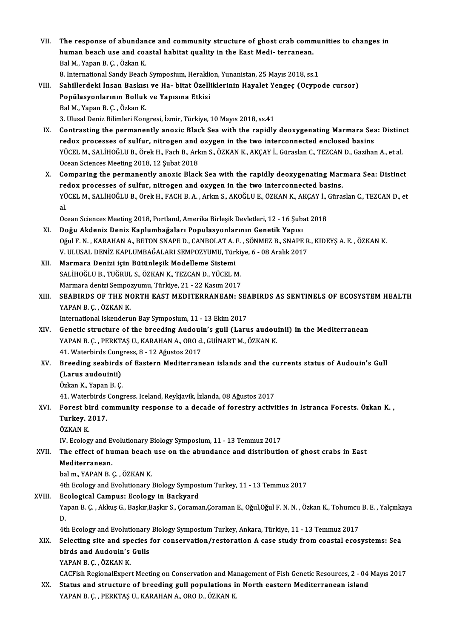- VII. The response of abundance and community structure of ghost crab communities to changes in<br>human beach use and seastel behitet suality in the East Medi, terranean The response of abundance and community structure of ghost crab comn<br>human beach use and coastal habitat quality in the East Medi- terranean. The response of abundan<br>human beach use and coa<br>Bal M., Yapan B. Ç. , Özkan K.<br>8. International Sondy Beach human beach use and coastal habitat quality in the East Medi- terranean.<br>Bal M., Yapan B. Ç. , Özkan K.<br>8. International Sandy Beach Symposium, Heraklion, Yunanistan, 25 Mayıs 2018, ss.1<br>Sabillardaki İnsan Baskısı ve Ha, b
	-
- Bal M., Yapan B. Ç. , Özkan K.<br>8. International Sandy Beach Symposium, Heraklion, Yunanistan, 25 Mayıs 2018, ss.1<br>1. Sahillerdeki İnsan Baskısı ve Ha- bitat Özelliklerinin Hayalet Yengeç (Ocypode cursor)<br>1. Popülasyonların 8. International Sandy Beach Symposium, Herakli<br>Sahillerdeki İnsan Baskısı ve Ha- bitat Özelli<br>Popülasyonlarının Bolluk ve Yapısına Etkisi<br>Pol M. Yapan B.C., Özkan K BalM.,YapanB.Ç. ,ÖzkanK. 3. Ulusal Deniz Bilimleri Kongresi, İzmir, Türkiye, 10 Mayıs 2018, ss.41
	- IX. Contrasting the permanently anoxic Black Sea with the rapidly deoxygenating Marmara Sea: Distinct 3. Ulusal Deniz Bilimleri Kongresi, İzmir, Türkiye, 10 Mayıs 2018, ss.41<br>Contrasting the permanently anoxic Black Sea with the rapidly deoxygenating Marmara Sea<br>The two processes of sulfur, nitrogen and oxygen in the two i Contrasting the permanently anoxic Black Sea with the rapidly deoxygenating Marmara Sea: Distine<br>redox processes of sulfur, nitrogen and oxygen in the two interconnected enclosed basins<br>YÜCEL M., SALİHOĞLU B., Örek H., Fac redox processes of sulfur, nitrogen and<br>YÜCEL M., SALİHOĞLU B., Örek H., Fach B., Ark<br>Ocean Sciences Meeting 2018, 12 Şubat 2018<br>Comparing the permanently apovis Blasl YÜCEL M., SALİHOĞLU B., Örek H., Fach B., Arkın S., ÖZKAN K., AKÇAY İ., Güraslan C., TEZCAN D., Gazihan A., et al.<br>Ocean Sciences Meeting 2018, 12 Şubat 2018<br>X. Comparing the permanently anoxic Black Sea with the rapidly d
	- Ocean Sciences Meeting 2018, 12 Şubat 2018<br>X. Comparing the permanently anoxic Black Sea with the rapidly deoxygenating Marmara Sea: Distinct<br>redox processes of sulfur, nitrogen and oxygen in the two interconnected basins. Comparing the permanently anoxic Black Sea with the rapidly deoxygenating Marmara Sea: Distinct<br>redox processes of sulfur, nitrogen and oxygen in the two interconnected basins.<br>YÜCEL M., SALİHOĞLU B., Örek H., FACH B. A. , re<br>YÜ<br>al. YÜCEL M., SALİHOĞLU B., Örek H., FACH B. A. , Arkın S., AKOĞLU E., ÖZKAN K., AKÇAY İ., (<br>al.<br>Ocean Sciences Meeting 2018, Portland, Amerika Birleşik Devletleri, 12 - 16 Şubat 2018<br>Doğu Akdaniz Deniz Kanlumbağaları Banulasy al.<br>Ocean Sciences Meeting 2018, Portland, Amerika Birleşik Devletleri, 12 - 16 Şubat 2018<br>XI. Doğu Akdeniz Deniz Kaplumbağaları Populasyonlarının Genetik Yapısı

- OğulF.N. ,KARAHANA.,BETONSNAPED.,CANBOLATA.F. ,SÖNMEZB.,SNAPER.,KIDEYŞA.E. ,ÖZKANK. Doğu Akdeniz Deniz Kaplumbağaları Populasyonlarının Genetik Yapısı<br>Oğul F. N. , KARAHAN A., BETON SNAPE D., CANBOLAT A. F. , SÖNMEZ B., SNAPE R<br>V. ULUSAL DENİZ KAPLUMBAĞALARI SEMPOZYUMU, Türkiye, 6 - 08 Aralık 2017<br>Marmara
- XII. Marmara Denizi için Bütünleşik Modelleme Sistemi V. ULUSAL DENİZ KAPLUMBAĞALARI SEMPOZYUMU, Türki<br>Marmara Denizi için Bütünleşik Modelleme Sistemi<br>SALİHOĞLU B., TUĞRUL S., ÖZKAN K., TEZCAN D., YÜCEL M.<br>Marmara danizi Samnazızımı Türkiye 21 - 22 Kasım 2017 SALİHOĞLU B., TUĞRUL S., ÖZKAN K., TEZCAN D., YÜCEL M.
- SALİHOĞLU B., TUĞRUL S., ÖZKAN K., TEZCAN D., YÜCEL M.<br>Marmara denizi Sempozyumu, Türkiye, 21 22 Kasım 2017<br>XIII. SEABIRDS OF THE NORTH EAST MEDITERRANEAN: SEABIRDS AS SENTINELS OF ECOSYSTEM HEALTH<br>VARAN B. G. ÖZKAN Marmara denizi Sempozyumu, Türkiye, 21 - 22 Kasım 2017<br>SEABIRDS OF THE NORTH EAST MEDITERRANEAN: SE.<br>YAPAN B. Ç. , ÖZKAN K.<br>International Iskenderun Bay Symposium, 11 - 13 Ekim 2017 SEABIRDS OF THE NORTH EAST MEDITERRANEAN: SEAPAN B.C., ÖZKAN K.<br>International Iskenderun Bay Symposium, 11 - 13 Ekim 2017<br>Constis structure of the breeding Audouin's sull (Laru

- YAPAN B. Ç. , ÖZKAN K.<br>International Iskenderun Bay Symposium, 11 13 Ekim 2017<br>XIV. Genetic structure of the breeding Audouin's gull (Larus audouinii) in the Mediterranean<br>XARAN B. G. BERKTAS IL KARAHAN A. ORO 4. CUINART International Iskenderun Bay Symposium, 11 - 13 Ekim 2017<br>Genetic structure of the breeding Audouin's gull (Larus audou<br>YAPAN B. Ç. , PERKTAŞ U., KARAHAN A., ORO d., GUİNART M., ÖZKAN K.<br>41 Watarbirds Congress, 9, .13 Ağus Genetic structure of the breeding Audoui<br>YAPAN B. Ç. , PERKTAŞ U., KARAHAN A., ORO d.<br>41. Waterbirds Congress, 8 - 12 Ağustos 2017<br>Preeding seebinds of Festern Mediterran YAPAN B. Ç. , PERKTAŞ U., KARAHAN A., ORO d., GUİNART M., ÖZKAN K.<br>41. Waterbirds Congress, 8 - 12 Ağustos 2017<br>XV. Breeding seabirds of Eastern Mediterranean islands and the currents status of Audouin's Gull<br>(Larus au
- 41. Waterbirds Cong<br>Breeding seabirds<br>(Larus audouinii)<br>Özkan K. Vanan B. G Breeding seabirds<br>(Larus audouinii)<br>Özkan K., Yapan B. Ç.<br>41. Watarbirds Cong (Larus audouinii)<br>Özkan K., Yapan B. Ç.<br>41. Waterbirds Congress. Iceland, Reykjavik, İzlanda, 08 Ağustos 2017<br>Fonest bird sommunity neanonse to a desade of fonestw estivi

- Özkan K., Yapan B. Ç.<br>41. Waterbirds Congress. Iceland, Reykjavik, İzlanda, 08 Ağustos 2017<br>XVI. Forest bird community response to a decade of forestry activities in Istranca Forests. Özkan K. ,<br>Turkay, 2017 41. Waterbirds<br>Forest bird co<br>Turkey. 2017.<br>ÖZVAN V Forest bi<br>Turkey. 2<br>ÖZKAN K.<br>W. Eseleg Turkey. 2017.<br>ÖZKAN K.<br>IV. Ecology and Evolutionary Biology Symposium, 11 - 13 Temmuz 2017
	-

ÖZKAN K.<br>IV. Ecology and Evolutionary Biology Symposium, 11 - 13 Temmuz 2017<br>XVII. The effect of human beach use on the abundance and distribution of ghost crabs in East<br>Mediterranean IV. Ecology and E<br><mark>The effect of hu</mark><br>Mediterranean.<br>bel m. YABAN B. The effect of human beach<br>Mediterranean.<br>bal m., YAPAN B. Ç. , ÖZKAN K.<br>4th Ecology and Evolutionery. Mediterranean.<br>bal m., YAPAN B. Ç. , ÖZKAN K.<br>4th Ecology and Evolutionary Biology Symposium Turkey, 11 - 13 Temmuz 2017

XVIII. Ecological Campus: Ecology in Backyard

4th Ecology and Evolutionary Biology Symposium Turkey, 11 - 13 Temmuz 2017<br><mark>Ecological Campus: Ecology in Backyard</mark><br>Yapan B. Ç. , Akkuş G., Başkır,Başkır S., Çoraman,Çoraman E., Oğul,Oğul F. N. N. , Özkan K., Tohumcu B. E. Ec<br>Ya<br>D. Yapan B. Ç. , Akkuş G., Başkır,Başkır S., Çoraman,Çoraman E., Oğul,Oğul F. N. N. , Özkan K., Tohumcu<br>D.<br>4th Ecology and Evolutionary Biology Symposium Turkey, Ankara, Türkiye, 11 - 13 Temmuz 2017<br>Selecting aite and anesies

# D.<br>4th Ecology and Evolutionary Biology Symposium Turkey, Ankara, Türkiye, 11 - 13 Temmuz 2017<br>XIX. Selecting site and species for conservation/restoration A case study from coastal ecosystems: Sea<br>hinds and Audavin's G 4th Ecology and Evolutionary Biology Symposium Turkey, Ankara, Türkiye, 11 - 13 Temmuz 2017<br>Selecting site and species for conservation/restoration A case study from coastal ecos<br>birds and Audouin's Gulls<br>YAPAN B. C., ÖZKA Selecting site and spo<br>birds and Audouin's<br>YAPAN B.Ç.,ÖZKAN K.<br>CACEish BegianalEypen

CACFish RegionalExpert Meeting on Conservation and Management of Fish Genetic Resources, 2 - 04 Mayıs 2017

YAPAN B. Ç. , ÖZKAN K.<br>CACFish RegionalExpert Meeting on Conservation and Management of Fish Genetic Resources, 2 - 04<br>XX. Status and structure of breeding gull populations in North eastern Mediterranean island<br>XAPAN B. G. CACFish RegionalExpert Meeting on Conservation and Ma<br>Status <mark>and structure of breeding gull populations</mark> i<br>YAPAN B. Ç. , PERKTAŞ U., KARAHAN A., ORO D., ÖZKAN K.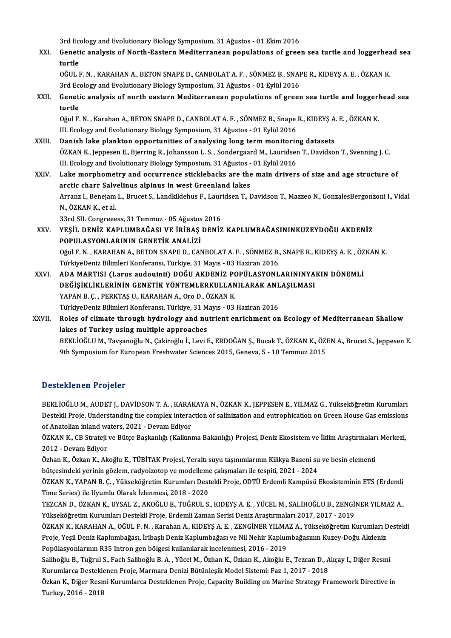3rd Ecology and Evolutionary Biology Symposium, 31 Ağustos - 01 Ekim 2016<br>Conetis analygis of North Eastern Mediterranean nopulations of spee

3rd Ecology and Evolutionary Biology Symposium, 31 Ağustos - 01 Ekim 2016<br>XXI. Genetic analysis of North-Eastern Mediterranean populations of green sea turtle and loggerhead sea<br>turtle 3rd Ece<br>Geneti<br>turtle<br>očuu u Genetic analysis of North-Eastern Mediterranean populations of green sea turtle and loggerhea<br>turtle<br>OĞUL F.N. , KARAHAN A., BETON SNAPE D., CANBOLAT A. F. , SÖNMEZ B., SNAPE R., KIDEYŞ A. E. , ÖZKAN K.<br>2rd Ecclegy and Evo turtle<br>OĞUL F. N. , KARAHAN A., BETON SNAPE D., CANBOLAT A. F. , SÖNMEZ B., SNAPE R., KIDEYŞ A. E. , ÖZKAN K.

OĞUL F. N. , KARAHAN A., BETON SNAPE D., CANBOLAT A. F. , SÖNMEZ B., SNAPE R., KIDEYŞ A. E. , ÖZKAN K.<br>3rd Ecology and Evolutionary Biology Symposium, 31 Ağustos - 01 Eylül 2016<br>XXII. Genetic analysis of north eastern

3rd Ecology and Evolutionary Biology Symposium, 31 Ağustos - 01 Eylül 2016<br>Genetic analysis of north eastern Mediterranean populations of green sea turtle and loggerl<br>turtle<br>Oğul F. N. , Karahan A., BETON SNAPE D., CANBOLA Genetic analysis of north eastern Mediterranean populations of green sea turtle and loggerl<br>turtle<br>Oğul F. N. , Karahan A., BETON SNAPE D., CANBOLAT A. F. , SÖNMEZ B., Snape R., KIDEYŞ A. E. , ÖZKAN K.<br>III. Eselegy and Evo

III. Ecology and Evolutionary Biology Symposium, 31 Ağustos - 01 Eylül 2016 Oğul F. N., Karahan A., BETON SNAPE D., CANBOLAT A. F., SÖNMEZ B., Snape R., KIDEYS A<br>III. Ecology and Evolutionary Biology Symposium, 31 Ağustos - 01 Eylül 2016<br>XXIII. Danish lake plankton opportunities of analysing long

- ÖZKAN K., Jeppesen E., Bjerring R., Johansson L. S. , Sondergaard M., Lauridsen T., Davidson T., Svenning J. C.<br>III. Ecology and Evolutionary Biology Symposium, 31 Ağustos 01 Eylül 2016 Danish lake plankton opportunities of analysing long term monitorin<br>ÖZKAN K., Jeppesen E., Bjerring R., Johansson L. S. , Sondergaard M., Lauridser<br>III. Ecology and Evolutionary Biology Symposium, 31 Ağustos - 01 Eylül 201
- XXIV. Lakemorphometry and occurrence sticklebacks are themain drivers of size and age structure of III. Ecology and Evolutionary Biology Symposium, 31 Ağustos -<br>Lake morphometry and occurrence sticklebacks are the<br>arctic charr Salvelinus alpinus in west Greenland lakes<br>Arranz L. Banciam L. Bruest S. Landkildebus E. Laur Lake morphometry and occurrence sticklebacks are the main drivers of size and age structure of<br>arctic charr Salvelinus alpinus in west Greenland lakes<br>Arranz I., Benejam L., Brucet S., Landkildehus F., Lauridsen T., Davids arctic charr Salv<br>Arranz I., Benejam<br>N., ÖZKAN K., et al.<br><sup>22nd SU. Congrees</sub></sup> Arranz I., Benejam L., Brucet S., Landkildehus F., Laur<br>N., ÖZKAN K., et al.<br>33rd SIL Congreeess, 31 Temmuz - 05 Ağustos 2016<br>VESİL DENİZ KARLIMPAĞASI VE İRİPAS DENİZ 33rd SIL Congreeess, 31 Temmuz - 05 Ağustos 2016

N., ÖZKAN K., et al.<br>33rd SIL Congreeess, 31 Temmuz - 05 Ağustos 2016<br>XXV. YEŞİL DENİZ KAPLUMBAĞASI VE İRİBAŞ DENİZ KAPLUMBAĞASININKUZEYDOĞU AKDENİZ<br>POPULASYONLARININ GENETİK ANALİZİ YEŞİL DENİZ KAPLUMBAĞASI VE İRİBAŞ DENİZ KAPLUMBAĞASININKUZEYDOĞU AKDENİZ<br>POPULASYONLARININ GENETİK ANALİZİ<br>Oğul F. N. , KARAHAN A., BETON SNAPE D., CANBOLAT A. F. , SÖNMEZ B., SNAPE R., KIDEYŞ A. E. , ÖZKAN K.<br>TürkiyeDoni POPULASYONLARININ GENETİK ANALİZİ<br>Oğul F. N. , KARAHAN A., BETON SNAPE D., CANBOLAT A. F. , SÖNMEZ B.,<br>TürkiyeDeniz Bilimleri Konferansı, Türkiye, 31 Mayıs - 03 Haziran 2016<br>ADA MARTISI (Larus audoninii), DOĞU AKDENİZ POPÜ Oğul F. N. , KARAHAN A., BETON SNAPE D., CANBOLAT A. F. , SÖNMEZ B., SNAPE R., KIDEYŞ A. E. , ÖZ<br>TürkiyeDeniz Bilimleri Konferansı, Türkiye, 31 Mayıs - 03 Haziran 2016<br>XXVI. ADA MARTISI (Larus audouinii) DOĞU AKDENİZ P TürkiyeDeniz Bilimleri Konferansı, Türkiye, 31 Mayıs - 03 Haziran 2016<br>ADA MARTISI (Larus audouinii) DOĞU AKDENİZ POPÜLASYONLARININYA<br>DEĞİŞİKLİKLERİNİN GENETİK YÖNTEMLERKULLANILARAK ANLAŞILMASI<br>YARAN B.C., RERKTAS IL KARAH

ADA MARTISI (Larus audouinii) DOĞU AKDENİZ PO<br>DEĞİŞİKLİKLERİNİN GENETİK YÖNTEMLERKULLAN<br>YAPAN B. Ç. , PERKTAŞ U., KARAHAN A., Oro D., ÖZKAN K.<br>TürkiyoDoniz Pilimleri Konferansı Türkiye 31 Mayıs - 03 DEĞİŞİKLİKLERİNİN GENETİK YÖNTEMLERKULLANILARAK ANL<br>YAPAN B. Ç. , PERKTAŞ U., KARAHAN A., Oro D., ÖZKAN K.<br>TürkiyeDeniz Bilimleri Konferansı, Türkiye, 31 Mayıs - 03 Haziran 2016<br>Polas of elimate through hydrology and nutri YAPAN B. Ç. , PERKTAŞ U., KARAHAN A., Oro D., ÖZKAN K.<br>TürkiyeDeniz Bilimleri Konferansı, Türkiye, 31 Mayıs - 03 Haziran 2016<br>XXVII. Roles of climate through hydrology and nutrient enrichment on Ecology of Mediterranean Sh TürkiyeDeniz Bilimleri Konferansı, Türkiye, 31 Mayıs - 03 Haziran 2016

## BEKLİOĞLU M., Tavşanoğlu N., Çakiroğlu İ., Levi E., ERDOĞAN Ş., Bucak T., ÖZKAN K., ÖZEN A., Brucet S., Jeppesen E. 9th Symposium for European Freshwater Sciences 2015, Geneva, 5 - 10 Temmuz 2015

## Desteklenen Projeler

BEKLİOĞLU M., AUDET J., DAVİDSON T. A., KARAKAYA N., ÖZKAN K., JEPPESEN E., YILMAZ G., Yükseköğretim Kurumları D'esteklioğlu M., AUDET J., DAVİDSON T. A. , KARAKAYA N., ÖZKAN K., JEPPESEN E., YILMAZ G., Yükseköğretim Kurumları<br>Destekli Proje, Understanding the complex interaction of salinization and eutrophication on Green House Ga BEKLİOĞLU M., AUDET J., DAVİDSON T. A. , KARA<br>Destekli Proje, Understanding the complex intera<br>of Anatolian inland waters, 2021 - Devam Ediyor<br>ÖZKAN K. CB Strateji ve Bütse Baskaplığı (Kallanı Destekli Proje, Understanding the complex interaction of salinization and eutrophication on Green House Gas emissions<br>of Anatolian inland waters, 2021 - Devam Ediyor<br>ÖZKAN K., CB Strateji ve Bütçe Başkanlığı (Kalkınma Baka

of Anatolian inland waters, 2021 - Devam Ediyor<br>ÖZKAN K., CB Strateji ve Bütçe Başkanlığı (Kalkınma Bakanlığı) Projesi, Deniz Ekosistem ve İklim Araştırmaları Merkezi,<br>2012 - Devam Ediyor ÖZKAN K., CB Strateji ve Bütçe Başkanlığı (Kalkınma Bakanlığı) Projesi, Deniz Ekosistem ve İklim Araştırmalar<br>2012 - Devam Ediyor<br>Özhan K., Özkan K., Akoğlu E., TÜBİTAK Projesi, Yeraltı suyu taşınımlarının Kilikya Baseni s

2012 - Devam Ediyor<br>Özhan K., Özkan K., Akoğlu E., TÜBİTAK Projesi, Yeraltı suyu taşınımlarının Kilikya Baseni su<br>bütçesindeki yerinin gözlem, radyoizotop ve modelleme çalışmaları ile tespiti, 2021 - 2024<br>ÖZKAN K. XABAN B. Özhan K., Özkan K., Akoğlu E., TÜBİTAK Projesi, Yeraltı suyu taşınımlarının Kilikya Baseni su ve besin elementi<br>bütçesindeki yerinin gözlem, radyoizotop ve modelleme çalışmaları ile tespiti, 2021 - 2024<br>ÖZKAN K., YAPAN B.

bütçesindeki yerinin gözlem, radyoizotop ve modelleme<br>ÖZKAN K., YAPAN B. Ç. , Yükseköğretim Kurumları Dest<br>Time Series) ile Uyumlu Olarak İzlenmesi, 2018 - 2020<br>TEZCAN D. ÖZKAN K. UYSAL Z. AKOĞLU E. TUĞRUL S ÖZKAN K., YAPAN B. Ç. , Yükseköğretim Kurumları Destekli Proje, ODTÜ Erdemli Kampüsü Ekosisteminin ETS (Erdemli<br>Time Series) ile Uyumlu Olarak İzlenmesi, 2018 - 2020<br>TEZCAN D., ÖZKAN K., UYSAL Z., AKOĞLU E., TUĞRUL S., KID

Time Series) ile Uyumlu Olarak İzlenmesi, 2018 - 2020<br>TEZCAN D., ÖZKAN K., UYSAL Z., AKOĞLU E., TUĞRUL S., KIDEYŞ A. E. , YÜCEL M., SALİHOĞLU B., ZENGİNER YILMAZ A.,<br>Yükseköğretim Kurumları Destekli Proje, Erdemli Zaman Se TEZCAN D., ÖZKAN K., UYSAL Z., AKOĞLU E., TUĞRUL S., KIDEYŞ A. E. , YÜCEL M., SALİHOĞLU B., ZENGİNER YILMAZ A.,<br>Yükseköğretim Kurumları Destekli Proje, Erdemli Zaman Serisi Deniz Araştırmaları 2017, 2017 - 2019<br>ÖZKAN K., K

Yükseköğretim Kurumları Destekli Proje, Erdemli Zaman Serisi Deniz Araştırmaları 2017, 2017 - 2019<br>ÖZKAN K., KARAHAN A., OĞUL F. N. , Karahan A., KIDEYŞ A. E. , ZENGİNER YILMAZ A., Yükseköğretim Kurumları D<br>Proje, Yeşil De ÖZKAN K., KARAHAN A., OĞUL F. N. , Karahan A., KIDEYŞ A. E. , ZENGİNER YILMA<br>Proje, Yeşil Deniz Kaplumbağası, İribaşlı Deniz Kaplumbağası ve Nil Nehir Kaplun<br>Popülasyonlarının R35 Intron gen bölgesi kullanılarak incelenmes Proje, Yeşil Deniz Kaplumbağası, İribaşlı Deniz Kaplumbağası ve Nil Nehir Kaplumbağasının Kuzey-Doğu Akdeniz<br>Popülasyonlarının R35 Intron gen bölgesi kullanılarak incelenmesi, 2016 - 2019<br>Salihoğlu B., Tuğrul S., Fach Sali

Popülasyonlarının R35 Intron gen bölgesi kullanılarak incelenmesi, 2016 - 2019<br>Salihoğlu B., Tuğrul S., Fach Salihoğlu B. A. , Yücel M., Özhan K., Özkan K., Akoğlu E., Tezcan D., A<br>Kurumlarca Desteklenen Proje, Marmara Den Kurumlarca Desteklenen Proje, Marmara Denizi Bütünleşik Model Sistemi: Faz 1, 2017 - 2018

Özkan K., Diğer Resmi Kurumlarca Desteklenen Proje, Capacity Building on Marine Strategy Framework Directive in<br>Turkey, 2016 - 2018